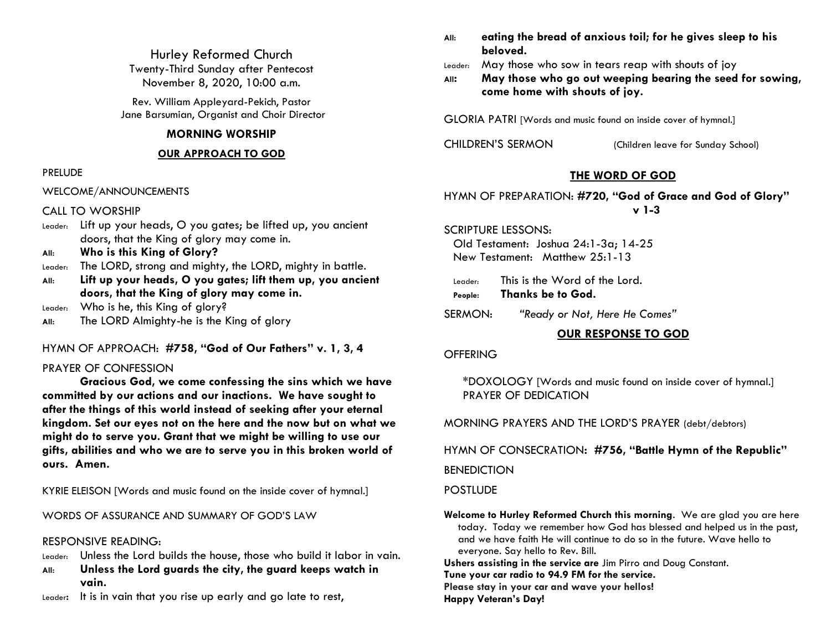Hurley Reformed Church Twenty-Third Sunday after Pentecost November 8, 2020, 10:00 a.m.

Rev. William Appleyard-Pekich, Pastor Jane Barsumian, Organist and Choir Director

### **MORNING WORSHIP**

#### **OUR APPROACH TO GOD**

#### PRELUDE

WELCOME/ANNOUNCEMENTS

#### CALL TO WORSHIP

- Leader: Lift up your heads, O you gates; be lifted up, you ancient doors, that the King of glory may come in.
- **All: Who is this King of Glory?**

Leader: The LORD, strong and mighty, the LORD, mighty in battle.

- **All: Lift up your heads, O you gates; lift them up, you ancient doors, that the King of glory may come in.**
- Leader: Who is he, this King of glory?
- **All:** The LORD Almighty-he is the King of glory

## HYMN OF APPROACH: **#758, "God of Our Fathers" v. 1, 3, 4**

## PRAYER OF CONFESSION

**Gracious God, we come confessing the sins which we have committed by our actions and our inactions. We have sought to after the things of this world instead of seeking after your eternal kingdom. Set our eyes not on the here and the now but on what we might do to serve you. Grant that we might be willing to use our gifts, abilities and who we are to serve you in this broken world of ours. Amen.**

KYRIE ELEISON [Words and music found on the inside cover of hymnal.]

WORDS OF ASSURANCE AND SUMMARY OF GOD'S LAW

#### RESPONSIVE READING:

- Leader: Unless the Lord builds the house, those who build it labor in vain.
- **All: Unless the Lord guards the city, the guard keeps watch in vain.**
- Leader: It is in vain that you rise up early and go late to rest,
- **All: eating the bread of anxious toil; for he gives sleep to his beloved.**
- Leader: May those who sow in tears reap with shouts of joy
- **All: May those who go out weeping bearing the seed for sowing, come home with shouts of joy.**

GLORIA PATRI [Words and music found on inside cover of hymnal.]

CHILDREN'S SERMON (Children leave for Sunday School)

# **THE WORD OF GOD**

## HYMN OF PREPARATION: **#720, "God of Grace and God of Glory" v 1-3**

SCRIPTURE LESSONS:

Old Testament: Joshua 24:1-3a; 14-25 New Testament: Matthew 25:1-13

- Leader: This is the Word of the Lord. **People: Thanks be to God.**
- SERMON: *"Ready or Not, Here He Comes"*

## **OUR RESPONSE TO GOD**

#### **OFFERING**

\*DOXOLOGY [Words and music found on inside cover of hymnal.] PRAYER OF DEDICATION

MORNING PRAYERS AND THE LORD'S PRAYER (debt/debtors)

HYMN OF CONSECRATION**: #756, "Battle Hymn of the Republic"**

# **BENEDICTION**

#### **POSTLUDE**

**Welcome to Hurley Reformed Church this morning**. We are glad you are here today. Today we remember how God has blessed and helped us in the past, and we have faith He will continue to do so in the future. Wave hello to everyone. Say hello to Rev. Bill.

**Ushers assisting in the service are** Jim Pirro and Doug Constant.

**Tune your car radio to 94.9 FM for the service.**

**Please stay in your car and wave your hellos!**

**Happy Veteran's Day!**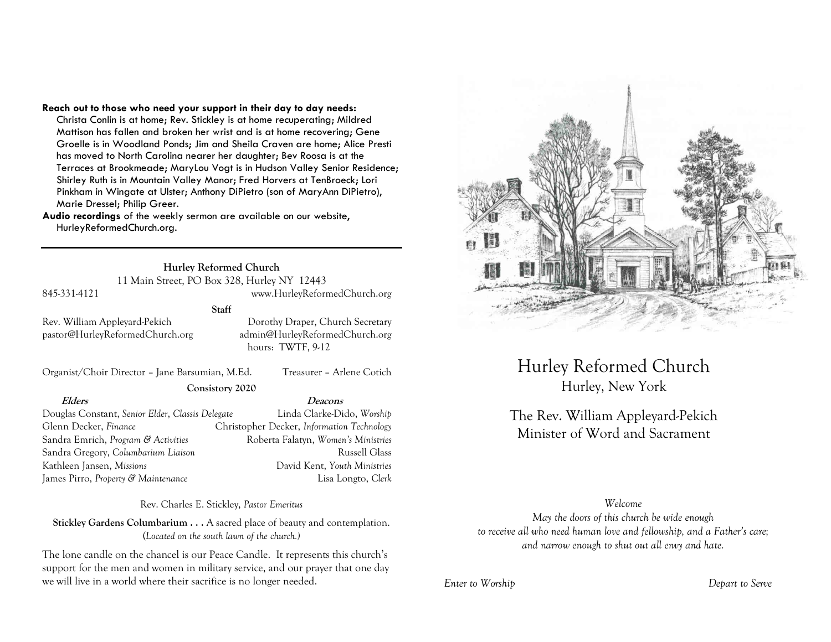#### **Reach out to those who need your support in their day to day needs:**

Christa Conlin is at home; Rev. Stickley is at home recuperating; Mildred Mattison has fallen and broken her wrist and is at home recovering; Gene Groelle is in Woodland Ponds; Jim and Sheila Craven are home; Alice Presti has moved to North Carolina nearer her daughter; Bev Roosa is at the Terraces at Brookmeade; MaryLou Vogt is in Hudson Valley Senior Residence; Shirley Ruth is in Mountain Valley Manor; Fred Horvers at TenBroeck; Lori Pinkham in Wingate at Ulster; Anthony DiPietro (son of MaryAnn DiPietro), Marie Dressel; Philip Greer.

**Audio recordings** of the weekly sermon are available on our website, HurleyReformedChurch.org.

**Hurley Reformed Church**

11 Main Street, PO Box 328, Hurley NY 12443

#### 845-331-4121 www.HurleyReformedChurch.org

### **Staff**

pastor@HurleyReformedChurch.org admin@HurleyReformedChurch.org

Rev. William Appleyard-Pekich Dorothy Draper, Church Secretary hours: TWTF, 9-12

Organist/Choir Director – Jane Barsumian, M.Ed. Treasurer – Arlene Cotich

**Consistory 2020**

#### **Elders Deacons**

Douglas Constant, *Senior Elder*, *Classis Delegate* Linda Clarke-Dido, *Worship* Glenn Decker, *Finance* Christopher Decker, *Information Technology* Sandra Emrich, *Program & Activities* Roberta Falatyn, *Women's Ministries* Sandra Gregory, *Columbarium Liaison* Russell Glass Kathleen Jansen, *Missions* David Kent, *Youth Ministries* James Pirro, *Property & Maintenance* Lisa Longto, *Clerk*

Rev. Charles E. Stickley, *Pastor Emeritus*

**Stickley Gardens Columbarium . . .** A sacred place of beauty and contemplation. (*Located on the south lawn of the church.)* 

The lone candle on the chancel is our Peace Candle. It represents this church's support for the men and women in military service, and our prayer that one day we will live in a world where their sacrifice is no longer needed.



Hurley Reformed Church Hurley, New York

# The Rev. William Appleyard-Pekich Minister of Word and Sacrament

## *Welcome*

*May the doors of this church be wide enough to receive all who need human love and fellowship, and a Father's care; and narrow enough to shut out all envy and hate.*

*Enter to Worship Depart to Serve*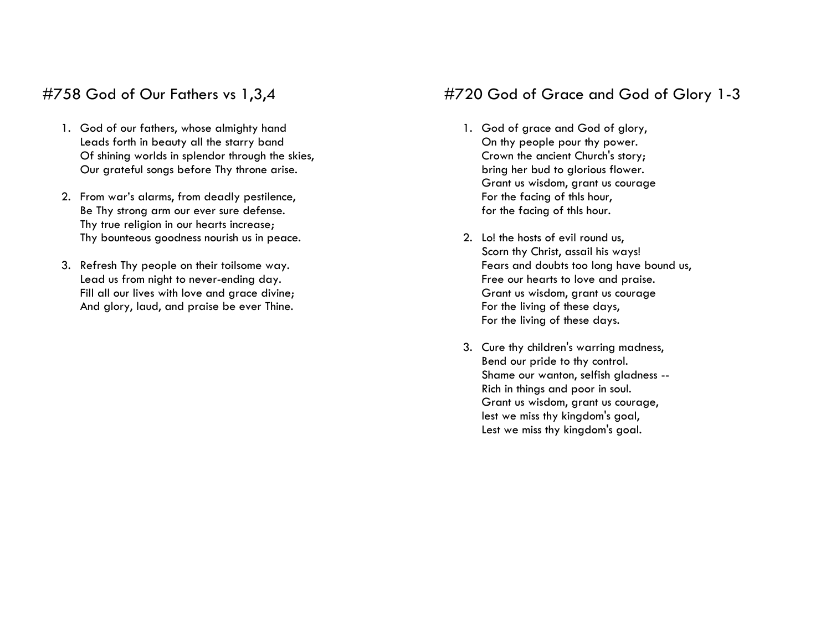# #758 God of Our Fathers vs 1,3,4

- 1. God of our fathers, whose almighty hand Leads forth in beauty all the starry band Of shining worlds in splendor through the skies, Our grateful songs before Thy throne arise.
- 2. From war's alarms, from deadly pestilence, Be Thy strong arm our ever sure defense. Thy true religion in our hearts increase; Thy bounteous goodness nourish us in peace.
- 3. Refresh Thy people on their toilsome way. Lead us from night to never-ending day. Fill all our lives with love and grace divine; And glory, laud, and praise be ever Thine.

# #720 God of Grace and God of Glory 1-3

- 1. God of grace and God of glory, On thy people pour thy power. Crown the ancient Church's story; bring her bud to glorious flower. Grant us wisdom, grant us courage For the facing of thls hour, for the facing of thls hour.
- 2. Lo! the hosts of evil round us, Scorn thy Christ, assail his ways! Fears and doubts too long have bound us, Free our hearts to love and praise. Grant us wisdom, grant us courage For the living of these days, For the living of these days.
- 3. Cure thy children's warring madness, Bend our pride to thy control. Shame our wanton, selfish gladness -- Rich in things and poor in soul. Grant us wisdom, grant us courage, lest we miss thy kingdom's goal, Lest we miss thy kingdom's goal.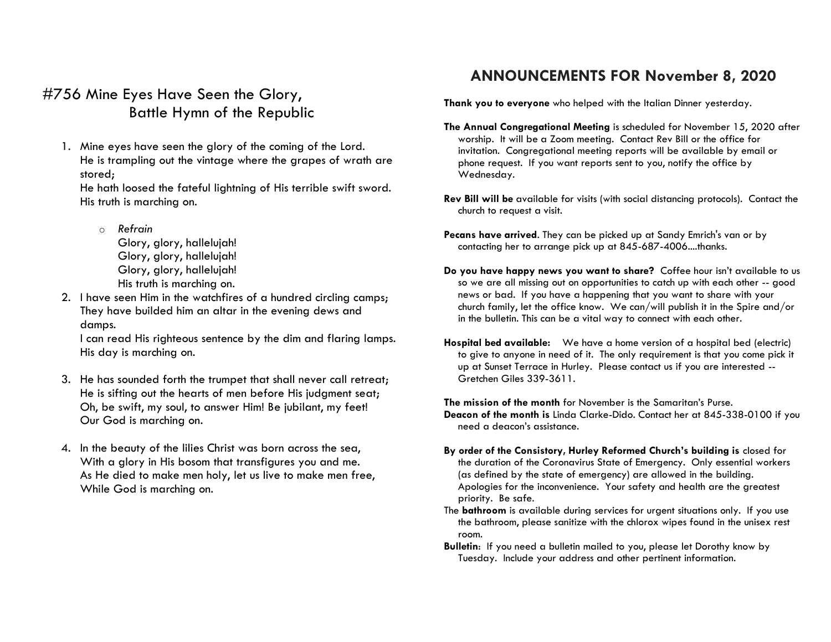# #756 Mine Eyes Have Seen the Glory, Battle Hymn of the Republic

1. Mine eyes have seen the glory of the coming of the Lord. He is trampling out the vintage where the grapes of wrath are stored;

He hath loosed the fateful lightning of His terrible swift sword. His truth is marching on.

- o *Refrain*  Glory, glory, hallelujah! Glory, glory, hallelujah! Glory, glory, hallelujah! His truth is marching on.
- 2. I have seen Him in the watchfires of a hundred circling camps; They have builded him an altar in the evening dews and damps.

I can read His righteous sentence by the dim and flaring lamps. His day is marching on.

- 3. He has sounded forth the trumpet that shall never call retreat; He is sifting out the hearts of men before His judgment seat; Oh, be swift, my soul, to answer Him! Be jubilant, my feet! Our God is marching on.
- 4. In the beauty of the lilies Christ was born across the sea, With a glory in His bosom that transfigures you and me. As He died to make men holy, let us live to make men free, While God is marching on.

# **ANNOUNCEMENTS FOR November 8, 2020**

**Thank you to everyone** who helped with the Italian Dinner yesterday.

- **The Annual Congregational Meeting** is scheduled for November 15, 2020 after worship. It will be a Zoom meeting. Contact Rev Bill or the office for invitation. Congregational meeting reports will be available by email or phone request. If you want reports sent to you, notify the office by Wednesday.
- **Rev Bill will be** available for visits (with social distancing protocols). Contact the church to request a visit.
- **Pecans have arrived**. They can be picked up at Sandy Emrich's van or by contacting her to arrange pick up at 845-687-4006....thanks.
- **Do you have happy news you want to share?** Coffee hour isn't available to us so we are all missing out on opportunities to catch up with each other -- good news or bad. If you have a happening that you want to share with your church family, let the office know. We can/will publish it in the Spire and/or in the bulletin. This can be a vital way to connect with each other.
- **Hospital bed available:** We have a home version of a hospital bed (electric) to give to anyone in need of it. The only requirement is that you come pick it up at Sunset Terrace in Hurley. Please contact us if you are interested -- Gretchen Giles 339-3611.

**The mission of the month** for November is the Samaritan's Purse. **Deacon of the month is** Linda Clarke-Dido. Contact her at 845-338-0100 if you need a deacon's assistance.

- **By order of the Consistory, Hurley Reformed Church's building is** closed for the duration of the Coronavirus State of Emergency. Only essential workers (as defined by the state of emergency) are allowed in the building. Apologies for the inconvenience. Your safety and health are the greatest priority. Be safe.
- The **bathroom** is available during services for urgent situations only. If you use the bathroom, please sanitize with the chlorox wipes found in the unisex rest room.
- **Bulletin**: If you need a bulletin mailed to you, please let Dorothy know by Tuesday. Include your address and other pertinent information.